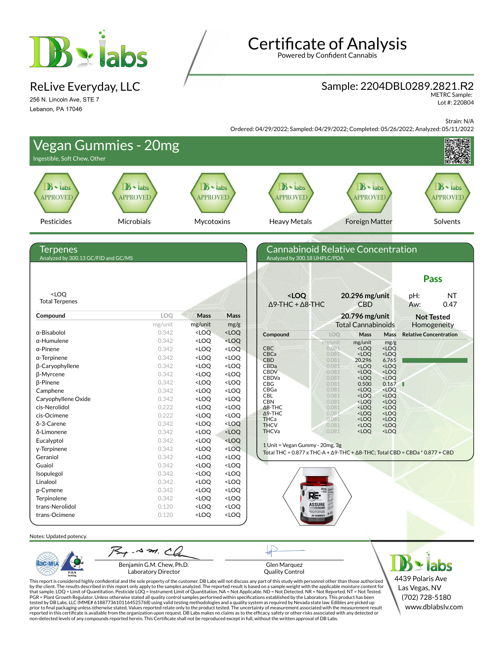

ReLive Everyday, LLC

256 N. Lincoln Ave, STE 7 Lebanon, PA 17046

# **Certificate of Analysis**

Powered by Confident Cannabis

### Sample: 2204DBL0289.2821.R2

METRC Sample: Lot #: 220804

Strain: N/A

Ordered: 04/29/2022; Sampled: 04/29/2022; Completed: 05/26/2022; Analyzed: 05/11/2022

| Ingestible, Soft Chew, Other                    | <b>Vegan Gummies - 20mg</b>       |                                                                                                                                                                                                                    |                                                                                                                                                                                        |                                                                      |                                                                                                      |                                              |
|-------------------------------------------------|-----------------------------------|--------------------------------------------------------------------------------------------------------------------------------------------------------------------------------------------------------------------|----------------------------------------------------------------------------------------------------------------------------------------------------------------------------------------|----------------------------------------------------------------------|------------------------------------------------------------------------------------------------------|----------------------------------------------|
| $B \cdot$ labs<br><b>APPROVED</b>               | $B \cdot$ labs<br><b>APPROVED</b> | $\mathbf{B}$ - labs<br><b>APPROVED</b>                                                                                                                                                                             |                                                                                                                                                                                        | $\mathbf{B}$ $\cdot$ labs<br><b>APPROVED</b>                         | $\mathbf{B}$ - labs<br><b>APPROVED</b>                                                               | $\mathbf{B}$ $\cdot$ labs<br><b>APPROVED</b> |
| Pesticides                                      | Microbials                        | Mycotoxins                                                                                                                                                                                                         |                                                                                                                                                                                        | <b>Heavy Metals</b>                                                  | <b>Foreign Matter</b>                                                                                | Solvents                                     |
| Terpenes<br>Analyzed by 300.13 GC/FID and GC/MS |                                   |                                                                                                                                                                                                                    |                                                                                                                                                                                        | Analyzed by 300.18 UHPLC/PDA                                         | Cannabinoid Relative Concentration                                                                   | <b>Pass</b>                                  |
| <loq<br><b>Total Terpenes</b></loq<br>          |                                   |                                                                                                                                                                                                                    |                                                                                                                                                                                        | <loq<br><math>\Delta</math>9-THC + <math>\Delta</math>8-THC</loq<br> | 20.296 mg/unit<br><b>CBD</b>                                                                         | NT<br>pH:<br>0.47<br>Aw:                     |
| Compound                                        | LOQ                               | Mass                                                                                                                                                                                                               | Mass                                                                                                                                                                                   |                                                                      | 20.796 mg/unit                                                                                       | <b>Not Tested</b>                            |
|                                                 | mg/unit                           | mg/unit                                                                                                                                                                                                            | mg/g                                                                                                                                                                                   |                                                                      | <b>Total Cannabinoids</b>                                                                            | Homogeneity                                  |
| α-Bisabolol                                     | 0.342                             | $<$ LOQ                                                                                                                                                                                                            | $<$ LOQ                                                                                                                                                                                | Compound                                                             | Mass<br>LOQ<br>Mass                                                                                  | <b>Relative Concentration</b>                |
| $\alpha$ -Humulene                              | 0.342                             | <loq< td=""><td><loq< td=""><td></td><td>mg/unit<br/>mg/unit<br/>mg/g</td><td></td></loq<></td></loq<>                                                                                                             | <loq< td=""><td></td><td>mg/unit<br/>mg/unit<br/>mg/g</td><td></td></loq<>                                                                                                             |                                                                      | mg/unit<br>mg/unit<br>mg/g                                                                           |                                              |
| $\alpha$ -Pinene                                | 0.342                             | <loq< td=""><td><loq< td=""><td><b>CBC</b><br/>CBCa</td><td>0.081<br/><math>&lt;</math>LOQ<br/><loq<br><math>&lt;</math>LOQ<br/><loq<br>0.081</loq<br></loq<br></td><td></td></loq<></td></loq<>                   | <loq< td=""><td><b>CBC</b><br/>CBCa</td><td>0.081<br/><math>&lt;</math>LOQ<br/><loq<br><math>&lt;</math>LOQ<br/><loq<br>0.081</loq<br></loq<br></td><td></td></loq<>                   | <b>CBC</b><br>CBCa                                                   | 0.081<br>$<$ LOQ<br><loq<br><math>&lt;</math>LOQ<br/><loq<br>0.081</loq<br></loq<br>                 |                                              |
| $\alpha$ -Terpinene                             | 0.342                             | <loq< td=""><td><loq< td=""><td><b>CBD</b></td><td>20.296<br/>6.765<br/>0.081</td><td></td></loq<></td></loq<>                                                                                                     | <loq< td=""><td><b>CBD</b></td><td>20.296<br/>6.765<br/>0.081</td><td></td></loq<>                                                                                                     | <b>CBD</b>                                                           | 20.296<br>6.765<br>0.081                                                                             |                                              |
| β-Caryophyllene                                 | 0.342                             | <loq< td=""><td><loq< td=""><td>CBDa<br/><b>CBDV</b></td><td><loq<br>0.081<br/><loq<br>0.081<br/><loq<br><loq< td=""><td></td></loq<></loq<br></loq<br></loq<br></td></loq<></td></loq<>                           | <loq< td=""><td>CBDa<br/><b>CBDV</b></td><td><loq<br>0.081<br/><loq<br>0.081<br/><loq<br><loq< td=""><td></td></loq<></loq<br></loq<br></loq<br></td></loq<>                           | CBDa<br><b>CBDV</b>                                                  | <loq<br>0.081<br/><loq<br>0.081<br/><loq<br><loq< td=""><td></td></loq<></loq<br></loq<br></loq<br>  |                                              |
| β-Myrcene                                       | 0.342                             | <loq< td=""><td><loq< td=""><td>CBDVa</td><td><loq<br><loq<br>0.081</loq<br></loq<br></td><td></td></loq<></td></loq<>                                                                                             | <loq< td=""><td>CBDVa</td><td><loq<br><loq<br>0.081</loq<br></loq<br></td><td></td></loq<>                                                                                             | CBDVa                                                                | <loq<br><loq<br>0.081</loq<br></loq<br>                                                              |                                              |
| β-Pinene                                        | 0.342                             | <loq< td=""><td><loq< td=""><td>CBG<br/>CBGa</td><td>0.500<br/>0.167<br/>0.081<br/><loq<br>0.081</loq<br></td><td></td></loq<></td></loq<>                                                                         | <loq< td=""><td>CBG<br/>CBGa</td><td>0.500<br/>0.167<br/>0.081<br/><loq<br>0.081</loq<br></td><td></td></loq<>                                                                         | CBG<br>CBGa                                                          | 0.500<br>0.167<br>0.081<br><loq<br>0.081</loq<br>                                                    |                                              |
| Camphene                                        | 0.342                             | <loq< td=""><td><loq< td=""><td>CBL</td><td><loq<br><loq<br>0.081<br/><loq< td=""><td></td></loq<></loq<br></loq<br></td></loq<></td></loq<>                                                                       | <loq< td=""><td>CBL</td><td><loq<br><loq<br>0.081<br/><loq< td=""><td></td></loq<></loq<br></loq<br></td></loq<>                                                                       | CBL                                                                  | <loq<br><loq<br>0.081<br/><loq< td=""><td></td></loq<></loq<br></loq<br>                             |                                              |
| Caryophyllene Oxide                             | 0.342                             | <loq< td=""><td><loq< td=""><td><b>CBN</b></td><td>0.081<br/><loq<br><loq< td=""><td></td></loq<></loq<br></td></loq<></td></loq<>                                                                                 | <loq< td=""><td><b>CBN</b></td><td>0.081<br/><loq<br><loq< td=""><td></td></loq<></loq<br></td></loq<>                                                                                 | <b>CBN</b>                                                           | 0.081<br><loq<br><loq< td=""><td></td></loq<></loq<br>                                               |                                              |
| cis-Nerolidol                                   | 0.222                             | <loq< td=""><td><loq< td=""><td><math>\Delta</math>8-THC<br/><math>\Delta</math>9-THC</td><td><loq<br><loq<br>0.081<br/><loq<br><loq<br>0.081</loq<br></loq<br></loq<br></loq<br></td><td></td></loq<></td></loq<> | <loq< td=""><td><math>\Delta</math>8-THC<br/><math>\Delta</math>9-THC</td><td><loq<br><loq<br>0.081<br/><loq<br><loq<br>0.081</loq<br></loq<br></loq<br></loq<br></td><td></td></loq<> | $\Delta$ 8-THC<br>$\Delta$ 9-THC                                     | <loq<br><loq<br>0.081<br/><loq<br><loq<br>0.081</loq<br></loq<br></loq<br></loq<br>                  |                                              |
| cis-Ocimene<br>δ-3-Carene                       | 0.222<br>0.342                    | <loq< td=""><td><loq< td=""><td>THCa</td><td><loq<br><loq<br>0.081</loq<br></loq<br></td><td></td></loq<></td></loq<>                                                                                              | <loq< td=""><td>THCa</td><td><loq<br><loq<br>0.081</loq<br></loq<br></td><td></td></loq<>                                                                                              | THCa                                                                 | <loq<br><loq<br>0.081</loq<br></loq<br>                                                              |                                              |
|                                                 | 0.342                             | <loq<br><loq< td=""><td><math>&lt;</math>LOQ</td><td><b>THCV</b><br/><b>THCVa</b></td><td>0.081<br/><loq<br><loq<br><loq<br>0.081<br/><loq< td=""><td></td></loq<></loq<br></loq<br></loq<br></td></loq<></loq<br> | $<$ LOQ                                                                                                                                                                                | <b>THCV</b><br><b>THCVa</b>                                          | 0.081<br><loq<br><loq<br><loq<br>0.081<br/><loq< td=""><td></td></loq<></loq<br></loq<br></loq<br>   |                                              |
| δ-Limonene<br>Eucalyptol                        | 0.342                             | <loq< td=""><td><loq<br><loq< td=""><td></td><td></td><td></td></loq<></loq<br></td></loq<>                                                                                                                        | <loq<br><loq< td=""><td></td><td></td><td></td></loq<></loq<br>                                                                                                                        |                                                                      |                                                                                                      |                                              |
| y-Terpinene                                     | 0.342                             | <loq< td=""><td><loq< td=""><td>1 Unit = Vegan Gummy - 20mg, 3g</td><td></td><td></td></loq<></td></loq<>                                                                                                          | <loq< td=""><td>1 Unit = Vegan Gummy - 20mg, 3g</td><td></td><td></td></loq<>                                                                                                          | 1 Unit = Vegan Gummy - 20mg, 3g                                      |                                                                                                      |                                              |
| Geraniol                                        | 0.342                             | <loq< td=""><td><loq< td=""><td></td><td>Total THC = <math>0.877 \times THC-A + \Delta 9</math>-THC + <math>\Delta 8</math>-THC; Total CBD = CBDa * <math>0.877 + CBD</math></td><td></td></loq<></td></loq<>      | <loq< td=""><td></td><td>Total THC = <math>0.877 \times THC-A + \Delta 9</math>-THC + <math>\Delta 8</math>-THC; Total CBD = CBDa * <math>0.877 + CBD</math></td><td></td></loq<>      |                                                                      | Total THC = $0.877 \times THC-A + \Delta 9$ -THC + $\Delta 8$ -THC; Total CBD = CBDa * $0.877 + CBD$ |                                              |
| Guaiol                                          | 0.342                             | <loq< td=""><td><loq< td=""><td></td><td></td><td></td></loq<></td></loq<>                                                                                                                                         | <loq< td=""><td></td><td></td><td></td></loq<>                                                                                                                                         |                                                                      |                                                                                                      |                                              |
| Isopulegol                                      | 0.342                             | <loq< td=""><td><loq< td=""><td></td><td></td><td></td></loq<></td></loq<>                                                                                                                                         | <loq< td=""><td></td><td></td><td></td></loq<>                                                                                                                                         |                                                                      |                                                                                                      |                                              |
| Linalool                                        | 0.342                             | <loq< td=""><td><loq< td=""><td></td><td></td><td></td></loq<></td></loq<>                                                                                                                                         | <loq< td=""><td></td><td></td><td></td></loq<>                                                                                                                                         |                                                                      |                                                                                                      |                                              |
| p-Cymene                                        | 0.342                             | <loq< td=""><td><loq< td=""><td></td><td></td><td></td></loq<></td></loq<>                                                                                                                                         | <loq< td=""><td></td><td></td><td></td></loq<>                                                                                                                                         |                                                                      |                                                                                                      |                                              |
| Terpinolene                                     | 0.342                             | <loq< td=""><td><loo< td=""><td></td><td>RE-</td><td></td></loo<></td></loq<>                                                                                                                                      | <loo< td=""><td></td><td>RE-</td><td></td></loo<>                                                                                                                                      |                                                                      | RE-                                                                                                  |                                              |
| trans-Nerolidol                                 | 0.120                             | <loq< td=""><td><loq< td=""><td></td><td><b>ASSURE</b></td><td></td></loq<></td></loq<>                                                                                                                            | <loq< td=""><td></td><td><b>ASSURE</b></td><td></td></loq<>                                                                                                                            |                                                                      | <b>ASSURE</b>                                                                                        |                                              |
| trans-Ocimene                                   | 0.120                             | <loq< td=""><td><math>&lt;</math> LOQ</td><td></td><td><b>PREAD SPECTRAM ACAP</b><br/>EXTRACT SUPPLEMENT<br/>30 GUIMMIES</td><td></td></loq<>                                                                      | $<$ LOQ                                                                                                                                                                                |                                                                      | <b>PREAD SPECTRAM ACAP</b><br>EXTRACT SUPPLEMENT<br>30 GUIMMIES                                      |                                              |
| Notes: Updated potency.                         | $754 - 43$ m. Ch                  |                                                                                                                                                                                                                    |                                                                                                                                                                                        |                                                                      |                                                                                                      |                                              |

Benjamin G.M. Chew, Ph.D. Laboratory Director

PJLA<br>Testing

Glen Marquez Quality Control

This report is considered highly confidential and the sole property of the customer. DB Labs will not discuss any part of this study with personnel other than those authorized<br>by the client. The results described in this r

JUD **\* labs** 4439 Polaris Ave Las Vegas, NV (702) 728-5180 www.dblabslv.com